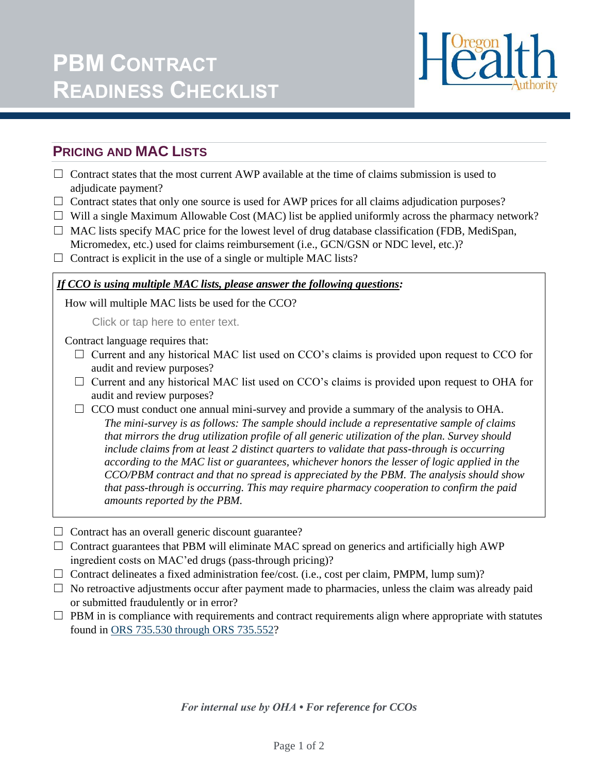

# **PRICING AND MAC LISTS**

- $\Box$  Contract states that the most current AWP available at the time of claims submission is used to adjudicate payment?
- $\Box$  Contract states that only one source is used for AWP prices for all claims adjudication purposes?
- $\Box$  Will a single Maximum Allowable Cost (MAC) list be applied uniformly across the pharmacy network?
- $\Box$  MAC lists specify MAC price for the lowest level of drug database classification (FDB, MediSpan, Micromedex, etc.) used for claims reimbursement (i.e., GCN/GSN or NDC level, etc.)?
- $\Box$  Contract is explicit in the use of a single or multiple MAC lists?

#### *If CCO is using multiple MAC lists, please answer the following questions:*

How will multiple MAC lists be used for the CCO?

Click or tap here to enter text.

Contract language requires that:

- $\Box$  Current and any historical MAC list used on CCO's claims is provided upon request to CCO for audit and review purposes?
- $\Box$  Current and any historical MAC list used on CCO's claims is provided upon request to OHA for audit and review purposes?
- $\Box$  CCO must conduct one annual mini-survey and provide a summary of the analysis to OHA. *The mini-survey is as follows: The sample should include a representative sample of claims that mirrors the drug utilization profile of all generic utilization of the plan. Survey should include claims from at least 2 distinct quarters to validate that pass-through is occurring according to the MAC list or guarantees, whichever honors the lesser of logic applied in the CCO/PBM contract and that no spread is appreciated by the PBM. The analysis should show that pass-through is occurring. This may require pharmacy cooperation to confirm the paid amounts reported by the PBM.*
- $\Box$  Contract has an overall generic discount guarantee?
- $\Box$  Contract guarantees that PBM will eliminate MAC spread on generics and artificially high AWP ingredient costs on MAC'ed drugs (pass-through pricing)?
- $\Box$  Contract delineates a fixed administration fee/cost. (i.e., cost per claim, PMPM, lump sum)?
- $\Box$  No retroactive adjustments occur after payment made to pharmacies, unless the claim was already paid or submitted fraudulently or in error?
- $\Box$  PBM in is compliance with requirements and contract requirements align where appropriate with statutes found in [ORS 735.530 through ORS 735.552?](https://oregon.public.law/statutes/ors_735.530)